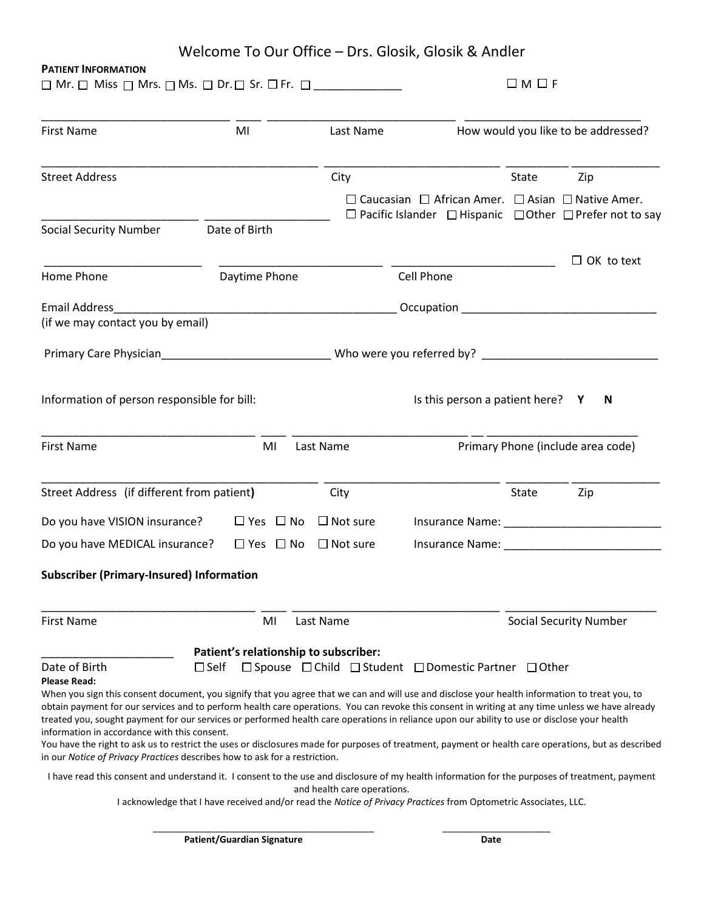| Welcome To Our Office – Drs. Glosik, Glosik & Andler |  |  |
|------------------------------------------------------|--|--|
|------------------------------------------------------|--|--|

## **PATIENT INFORMATION**

 $\square$  Mr.  $\square$  Miss  $\square$  Mrs.  $\square$  Ms.  $\square$  Dr.  $\square$  Sr.  $\square$  Fr.  $\square$  \_\_\_\_\_\_\_\_\_\_\_\_\_\_\_

| <b>First Name</b>                                                                                                                                                                                                                                                                                                                                                                                                                                                                                  | MI            |                      |                                                                                                                                                                                                                                      | Last Name                                                                                                                                               |       | How would you like to be addressed?    |  |  |
|----------------------------------------------------------------------------------------------------------------------------------------------------------------------------------------------------------------------------------------------------------------------------------------------------------------------------------------------------------------------------------------------------------------------------------------------------------------------------------------------------|---------------|----------------------|--------------------------------------------------------------------------------------------------------------------------------------------------------------------------------------------------------------------------------------|---------------------------------------------------------------------------------------------------------------------------------------------------------|-------|----------------------------------------|--|--|
| <b>Street Address</b>                                                                                                                                                                                                                                                                                                                                                                                                                                                                              |               |                      | City                                                                                                                                                                                                                                 |                                                                                                                                                         | State | Zip                                    |  |  |
|                                                                                                                                                                                                                                                                                                                                                                                                                                                                                                    |               |                      |                                                                                                                                                                                                                                      | $\Box$ Caucasian $\Box$ African Amer. $\Box$ Asian $\Box$ Native Amer.<br>$\Box$ Pacific Islander $\Box$ Hispanic $\Box$ Other $\Box$ Prefer not to say |       |                                        |  |  |
| <b>Social Security Number</b>                                                                                                                                                                                                                                                                                                                                                                                                                                                                      | Date of Birth |                      |                                                                                                                                                                                                                                      |                                                                                                                                                         |       |                                        |  |  |
| Home Phone                                                                                                                                                                                                                                                                                                                                                                                                                                                                                         | Daytime Phone |                      |                                                                                                                                                                                                                                      | Cell Phone                                                                                                                                              |       | $\Box$ OK to text                      |  |  |
| Email Address <b>Email</b>                                                                                                                                                                                                                                                                                                                                                                                                                                                                         |               |                      | <u> 1989 - Johann Harry Harry Harry Harry Harry Harry Harry Harry Harry Harry Harry Harry Harry Harry Harry Harry Harry Harry Harry Harry Harry Harry Harry Harry Harry Harry Harry Harry Harry Harry Harry Harry Harry Harry Ha</u> |                                                                                                                                                         |       |                                        |  |  |
| (if we may contact you by email)                                                                                                                                                                                                                                                                                                                                                                                                                                                                   |               |                      |                                                                                                                                                                                                                                      |                                                                                                                                                         |       |                                        |  |  |
|                                                                                                                                                                                                                                                                                                                                                                                                                                                                                                    |               |                      |                                                                                                                                                                                                                                      |                                                                                                                                                         |       |                                        |  |  |
| Information of person responsible for bill:<br><b>First Name</b>                                                                                                                                                                                                                                                                                                                                                                                                                                   |               | MI                   | Last Name                                                                                                                                                                                                                            | Is this person a patient here? Y                                                                                                                        |       | N<br>Primary Phone (include area code) |  |  |
| Street Address (if different from patient)                                                                                                                                                                                                                                                                                                                                                                                                                                                         |               |                      | City                                                                                                                                                                                                                                 |                                                                                                                                                         | State | Zip                                    |  |  |
| Do you have VISION insurance?                                                                                                                                                                                                                                                                                                                                                                                                                                                                      |               | $\Box$ Yes $\Box$ No | $\Box$ Not sure                                                                                                                                                                                                                      |                                                                                                                                                         |       |                                        |  |  |
| Do you have MEDICAL insurance?                                                                                                                                                                                                                                                                                                                                                                                                                                                                     |               | $\Box$ Yes $\Box$ No | $\Box$ Not sure                                                                                                                                                                                                                      | Insurance Name: Name:                                                                                                                                   |       |                                        |  |  |
| <b>Subscriber (Primary-Insured) Information</b>                                                                                                                                                                                                                                                                                                                                                                                                                                                    |               |                      |                                                                                                                                                                                                                                      |                                                                                                                                                         |       |                                        |  |  |
| <b>First Name</b>                                                                                                                                                                                                                                                                                                                                                                                                                                                                                  |               | MI                   | Last Name                                                                                                                                                                                                                            |                                                                                                                                                         |       | <b>Social Security Number</b>          |  |  |
|                                                                                                                                                                                                                                                                                                                                                                                                                                                                                                    |               |                      | Patient's relationship to subscriber:                                                                                                                                                                                                |                                                                                                                                                         |       |                                        |  |  |
| Date of Birth<br><b>Please Read:</b>                                                                                                                                                                                                                                                                                                                                                                                                                                                               | $\Box$ Self   |                      |                                                                                                                                                                                                                                      | □ Spouse □ Child □ Student □ Domestic Partner □ Other                                                                                                   |       |                                        |  |  |
| When you sign this consent document, you signify that you agree that we can and will use and disclose your health information to treat you, to<br>obtain payment for our services and to perform health care operations. You can revoke this consent in writing at any time unless we have already<br>treated you, sought payment for our services or performed health care operations in reliance upon our ability to use or disclose your health<br>information in accordance with this consent. |               |                      |                                                                                                                                                                                                                                      |                                                                                                                                                         |       |                                        |  |  |

You have the right to ask us to restrict the uses or disclosures made for purposes of treatment, payment or health care operations, but as described in our *Notice of Privacy Practices* describes how to ask for a restriction.

I have read this consent and understand it. I consent to the use and disclosure of my health information for the purposes of treatment, payment and health care operations.

I acknowledge that I have received and/or read the *Notice of Privacy Practices* from Optometric Associates, LLC.

\_\_\_\_\_\_\_\_\_\_\_\_\_\_\_\_\_\_\_\_\_\_\_\_\_\_\_\_\_\_\_\_\_\_\_\_\_\_\_\_\_\_\_ \_\_\_\_\_\_\_\_\_\_\_\_\_\_\_\_\_\_\_\_\_

**Patient/Guardian Signature Date Date**